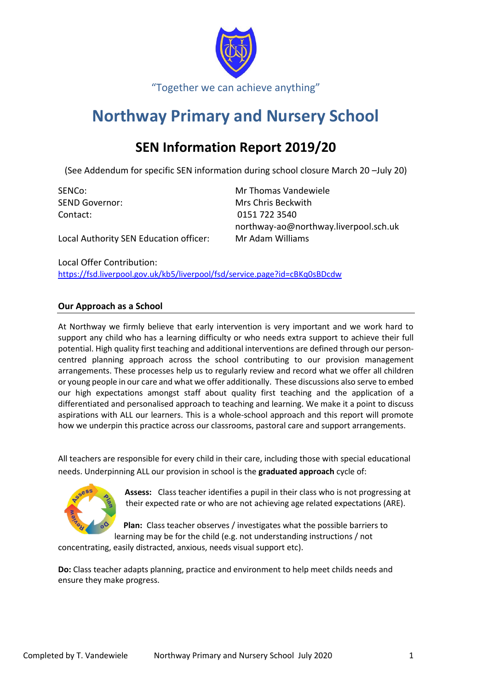

# **Northway Primary and Nursery School**

## **SEN Information Report 2019/20**

(See Addendum for specific SEN information during school closure March 20 –July 20)

Contact: 0151 722 3540

SENCo: Mr Thomas Vandewiele SEND Governor: Mrs Chris Beckwith northway-ao@northway.liverpool.sch.uk

Local Authority SEN Education officer: Mr Adam Williams

Local Offer Contribution: <https://fsd.liverpool.gov.uk/kb5/liverpool/fsd/service.page?id=cBKq0sBDcdw>

## **Our Approach as a School**

At Northway we firmly believe that early intervention is very important and we work hard to support any child who has a learning difficulty or who needs extra support to achieve their full potential. High quality first teaching and additional interventions are defined through our personcentred planning approach across the school contributing to our provision management arrangements. These processes help us to regularly review and record what we offer all children or young people in our care and what we offer additionally. These discussions also serve to embed our high expectations amongst staff about quality first teaching and the application of a differentiated and personalised approach to teaching and learning. We make it a point to discuss aspirations with ALL our learners. This is a whole-school approach and this report will promote how we underpin this practice across our classrooms, pastoral care and support arrangements.

All teachers are responsible for every child in their care, including those with special educational needs. Underpinning ALL our provision in school is the **graduated approach** cycle of:



**Assess:** Class teacher identifies a pupil in their class who is not progressing at their expected rate or who are not achieving age related expectations (ARE).

**Plan:** Class teacher observes / investigates what the possible barriers to learning may be for the child (e.g. not understanding instructions / not

concentrating, easily distracted, anxious, needs visual support etc).

**Do:** Class teacher adapts planning, practice and environment to help meet childs needs and ensure they make progress.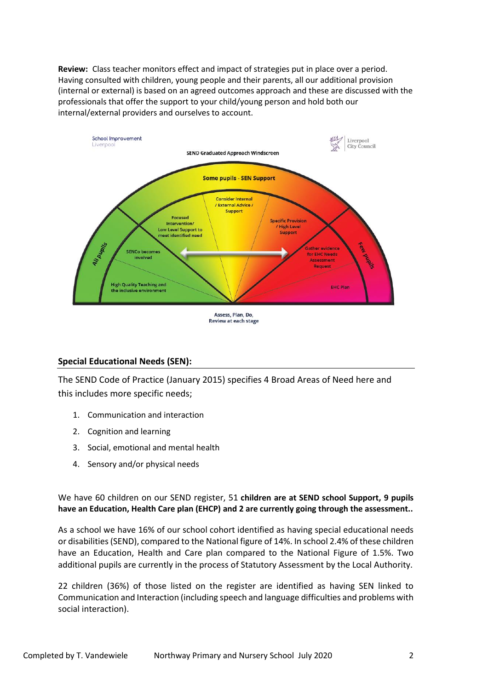**Review:** Class teacher monitors effect and impact of strategies put in place over a period. Having consulted with children, young people and their parents, all our additional provision (internal or external) is based on an agreed outcomes approach and these are discussed with the professionals that offer the support to your child/young person and hold both our internal/external providers and ourselves to account.



## **Special Educational Needs (SEN):**

The SEND Code of Practice (January 2015) specifies 4 Broad Areas of Need here and this includes more specific needs;

- 1. Communication and interaction
- 2. Cognition and learning
- 3. Social, emotional and mental health
- 4. Sensory and/or physical needs

We have 60 children on our SEND register, 51 **children are at SEND school Support, 9 pupils have an Education, Health Care plan (EHCP) and 2 are currently going through the assessment..**

As a school we have 16% of our school cohort identified as having special educational needs or disabilities (SEND), compared to the National figure of 14%. In school 2.4% of these children have an Education, Health and Care plan compared to the National Figure of 1.5%. Two additional pupils are currently in the process of Statutory Assessment by the Local Authority.

22 children (36%) of those listed on the register are identified as having SEN linked to Communication and Interaction (including speech and language difficulties and problems with social interaction).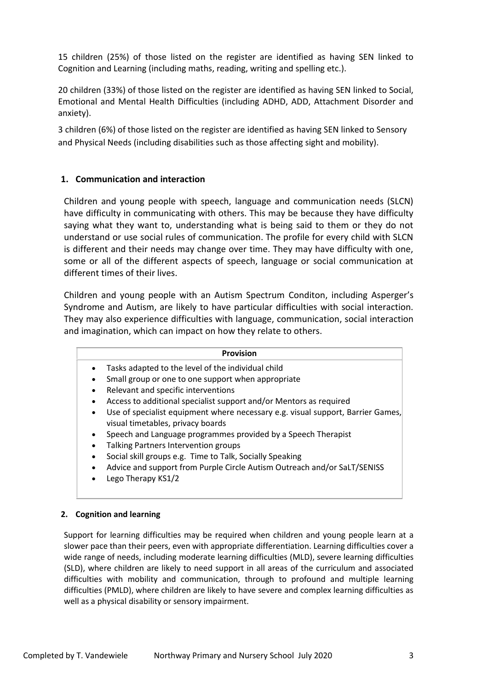15 children (25%) of those listed on the register are identified as having SEN linked to Cognition and Learning (including maths, reading, writing and spelling etc.).

20 children (33%) of those listed on the register are identified as having SEN linked to Social, Emotional and Mental Health Difficulties (including ADHD, ADD, Attachment Disorder and anxiety).

3 children (6%) of those listed on the register are identified as having SEN linked to Sensory and Physical Needs (including disabilities such as those affecting sight and mobility).

## **1. Communication and interaction**

Children and young people with speech, language and communication needs (SLCN) have difficulty in communicating with others. This may be because they have difficulty saying what they want to, understanding what is being said to them or they do not understand or use social rules of communication. The profile for every child with SLCN is different and their needs may change over time. They may have difficulty with one, some or all of the different aspects of speech, language or social communication at different times of their lives.

Children and young people with an Autism Spectrum Conditon, including Asperger's Syndrome and Autism, are likely to have particular difficulties with social interaction. They may also experience difficulties with language, communication, social interaction and imagination, which can impact on how they relate to others.

|           | <b>Provision</b>                                                                                                     |
|-----------|----------------------------------------------------------------------------------------------------------------------|
|           | Tasks adapted to the level of the individual child                                                                   |
|           | Small group or one to one support when appropriate                                                                   |
|           | Relevant and specific interventions                                                                                  |
|           | Access to additional specialist support and/or Mentors as required                                                   |
| $\bullet$ | Use of specialist equipment where necessary e.g. visual support, Barrier Games,<br>visual timetables, privacy boards |
|           | Speech and Language programmes provided by a Speech Therapist                                                        |
|           | Talking Partners Intervention groups                                                                                 |
|           | Social skill groups e.g. Time to Talk, Socially Speaking                                                             |
|           | Advice and support from Purple Circle Autism Outreach and/or SaLT/SENISS<br>Lego Therapy KS1/2                       |
|           |                                                                                                                      |

## **2. Cognition and learning**

Support for learning difficulties may be required when children and young people learn at a slower pace than their peers, even with appropriate differentiation. Learning difficulties cover a wide range of needs, including moderate learning difficulties (MLD), severe learning difficulties (SLD), where children are likely to need support in all areas of the curriculum and associated difficulties with mobility and communication, through to profound and multiple learning difficulties (PMLD), where children are likely to have severe and complex learning difficulties as well as a physical disability or sensory impairment.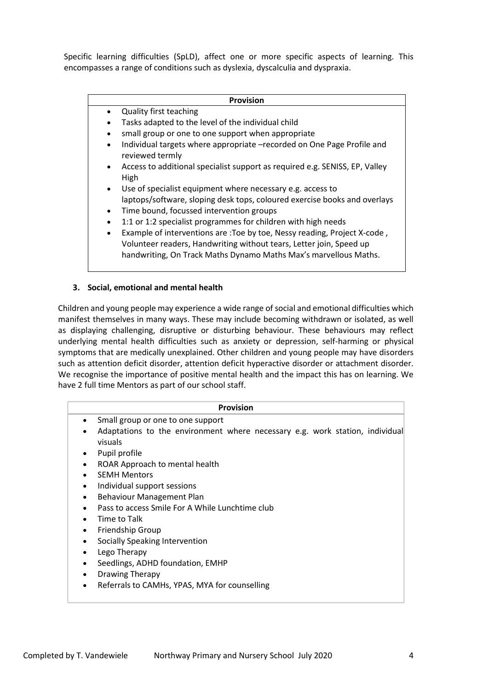Specific learning difficulties (SpLD), affect one or more specific aspects of learning. This encompasses a range of conditions such as dyslexia, dyscalculia and dyspraxia.

#### **Provision**

- Quality first teaching
	- Tasks adapted to the level of the individual child
- small group or one to one support when appropriate
- Individual targets where appropriate –recorded on One Page Profile and reviewed termly
- Access to additional specialist support as required e.g. SENISS, EP, Valley High
- Use of specialist equipment where necessary e.g. access to laptops/software, sloping desk tops, coloured exercise books and overlays
- Time bound, focussed intervention groups
- 1:1 or 1:2 specialist programmes for children with high needs
- Example of interventions are :Toe by toe, Nessy reading, Project X-code , Volunteer readers, Handwriting without tears, Letter join, Speed up handwriting, On Track Maths Dynamo Maths Max's marvellous Maths.

#### **3. Social, emotional and mental health**

Children and young people may experience a wide range of social and emotional difficulties which manifest themselves in many ways. These may include becoming withdrawn or isolated, as well as displaying challenging, disruptive or disturbing behaviour. These behaviours may reflect underlying mental health difficulties such as anxiety or depression, self-harming or physical symptoms that are medically unexplained. Other children and young people may have disorders such as attention deficit disorder, attention deficit hyperactive disorder or attachment disorder. We recognise the importance of positive mental health and the impact this has on learning. We have 2 full time Mentors as part of our school staff.

|           | <b>Provision</b>                                                                        |
|-----------|-----------------------------------------------------------------------------------------|
| $\bullet$ | Small group or one to one support                                                       |
| ٠         | Adaptations to the environment where necessary e.g. work station, individual<br>visuals |
| $\bullet$ | Pupil profile                                                                           |
| ٠         | ROAR Approach to mental health                                                          |
| ٠         | <b>SEMH Mentors</b>                                                                     |
| ٠         | Individual support sessions                                                             |
| ٠         | Behaviour Management Plan                                                               |
|           | Pass to access Smile For A While Lunchtime club                                         |
|           | Time to Talk                                                                            |
| $\bullet$ | <b>Friendship Group</b>                                                                 |
| ٠         | Socially Speaking Intervention                                                          |
| ٠         | Lego Therapy                                                                            |
| $\bullet$ | Seedlings, ADHD foundation, EMHP                                                        |
| $\bullet$ | Drawing Therapy                                                                         |
|           | Referrals to CAMHs, YPAS, MYA for counselling                                           |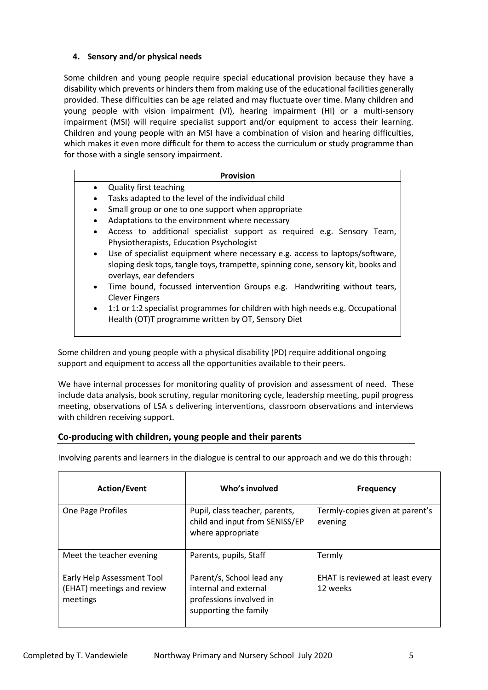## **4. Sensory and/or physical needs**

Some children and young people require special educational provision because they have a disability which prevents or hinders them from making use of the educational facilities generally provided. These difficulties can be age related and may fluctuate over time. Many children and young people with vision impairment (VI), hearing impairment (HI) or a multi-sensory impairment (MSI) will require specialist support and/or equipment to access their learning. Children and young people with an MSI have a combination of vision and hearing difficulties, which makes it even more difficult for them to access the curriculum or study programme than for those with a single sensory impairment.

| <b>Provision</b>                                                                          |  |  |
|-------------------------------------------------------------------------------------------|--|--|
| <b>Quality first teaching</b><br>$\bullet$                                                |  |  |
| Tasks adapted to the level of the individual child<br>$\bullet$                           |  |  |
| Small group or one to one support when appropriate<br>٠                                   |  |  |
| Adaptations to the environment where necessary                                            |  |  |
| Access to additional specialist support as required e.g. Sensory Team,<br>$\bullet$       |  |  |
| Physiotherapists, Education Psychologist                                                  |  |  |
| Use of specialist equipment where necessary e.g. access to laptops/software,<br>$\bullet$ |  |  |
| sloping desk tops, tangle toys, trampette, spinning cone, sensory kit, books and          |  |  |
| overlays, ear defenders                                                                   |  |  |
| Time bound, focussed intervention Groups e.g. Handwriting without tears,<br>$\bullet$     |  |  |
| <b>Clever Fingers</b>                                                                     |  |  |
| 1:1 or 1:2 specialist programmes for children with high needs e.g. Occupational           |  |  |

Health (OT)T programme written by OT, Sensory Diet

Some children and young people with a physical disability (PD) require additional ongoing support and equipment to access all the opportunities available to their peers.

We have internal processes for monitoring quality of provision and assessment of need.These include data analysis, book scrutiny, regular monitoring cycle, leadership meeting, pupil progress meeting, observations of LSA s delivering interventions, classroom observations and interviews with children receiving support.

## **Co-producing with children, young people and their parents**

Involving parents and learners in the dialogue is central to our approach and we do this through:

| <b>Action/Event</b>                                                  | Who's involved                                                                                         | <b>Frequency</b>                            |
|----------------------------------------------------------------------|--------------------------------------------------------------------------------------------------------|---------------------------------------------|
| One Page Profiles                                                    | Pupil, class teacher, parents,<br>child and input from SENISS/EP<br>where appropriate                  | Termly-copies given at parent's<br>evening  |
| Meet the teacher evening                                             | Parents, pupils, Staff                                                                                 | Termly                                      |
| Early Help Assessment Tool<br>(EHAT) meetings and review<br>meetings | Parent/s, School lead any<br>internal and external<br>professions involved in<br>supporting the family | EHAT is reviewed at least every<br>12 weeks |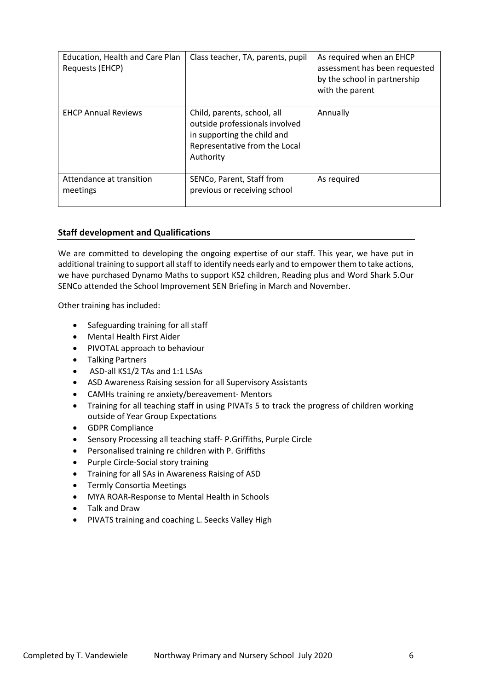| Education, Health and Care Plan<br>Requests (EHCP) | Class teacher, TA, parents, pupil                                                                                                          | As required when an EHCP<br>assessment has been requested<br>by the school in partnership<br>with the parent |
|----------------------------------------------------|--------------------------------------------------------------------------------------------------------------------------------------------|--------------------------------------------------------------------------------------------------------------|
| <b>EHCP Annual Reviews</b>                         | Child, parents, school, all<br>outside professionals involved<br>in supporting the child and<br>Representative from the Local<br>Authority | Annually                                                                                                     |
| Attendance at transition<br>meetings               | SENCo, Parent, Staff from<br>previous or receiving school                                                                                  | As required                                                                                                  |

## **Staff development and Qualifications**

We are committed to developing the ongoing expertise of our staff. This year, we have put in additional training to support all staff to identify needs early and to empower them to take actions, we have purchased Dynamo Maths to support KS2 children, Reading plus and Word Shark 5.Our SENCo attended the School Improvement SEN Briefing in March and November.

Other training has included:

- Safeguarding training for all staff
- Mental Health First Aider
- PIVOTAL approach to behaviour
- Talking Partners
- ASD-all KS1/2 TAs and 1:1 LSAs
- ASD Awareness Raising session for all Supervisory Assistants
- CAMHs training re anxiety/bereavement- Mentors
- Training for all teaching staff in using PIVATs 5 to track the progress of children working outside of Year Group Expectations
- GDPR Compliance
- Sensory Processing all teaching staff- P.Griffiths, Purple Circle
- Personalised training re children with P. Griffiths
- Purple Circle-Social story training
- Training for all SAs in Awareness Raising of ASD
- Termly Consortia Meetings
- MYA ROAR-Response to Mental Health in Schools
- Talk and Draw
- PIVATS training and coaching L. Seecks Valley High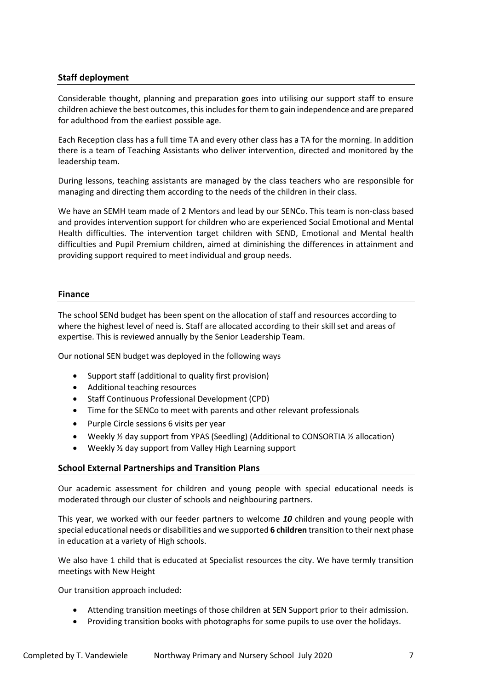## **Staff deployment**

Considerable thought, planning and preparation goes into utilising our support staff to ensure children achieve the best outcomes, this includes for them to gain independence and are prepared for adulthood from the earliest possible age.

Each Reception class has a full time TA and every other class has a TA for the morning. In addition there is a team of Teaching Assistants who deliver intervention, directed and monitored by the leadership team.

During lessons, teaching assistants are managed by the class teachers who are responsible for managing and directing them according to the needs of the children in their class.

We have an SEMH team made of 2 Mentors and lead by our SENCo. This team is non-class based and provides intervention support for children who are experienced Social Emotional and Mental Health difficulties. The intervention target children with SEND, Emotional and Mental health difficulties and Pupil Premium children, aimed at diminishing the differences in attainment and providing support required to meet individual and group needs.

#### **Finance**

The school SENd budget has been spent on the allocation of staff and resources according to where the highest level of need is. Staff are allocated according to their skill set and areas of expertise. This is reviewed annually by the Senior Leadership Team.

Our notional SEN budget was deployed in the following ways

- Support staff (additional to quality first provision)
- Additional teaching resources
- Staff Continuous Professional Development (CPD)
- Time for the SENCo to meet with parents and other relevant professionals
- Purple Circle sessions 6 visits per year
- Weekly ½ day support from YPAS (Seedling) (Additional to CONSORTIA ½ allocation)
- Weekly ½ day support from Valley High Learning support

#### **School External Partnerships and Transition Plans**

Our academic assessment for children and young people with special educational needs is moderated through our cluster of schools and neighbouring partners.

This year, we worked with our feeder partners to welcome *10* children and young people with special educational needs or disabilities and we supported **6 children** transition to their next phase in education at a variety of High schools.

We also have 1 child that is educated at Specialist resources the city. We have termly transition meetings with New Height

Our transition approach included:

- Attending transition meetings of those children at SEN Support prior to their admission.
- Providing transition books with photographs for some pupils to use over the holidays.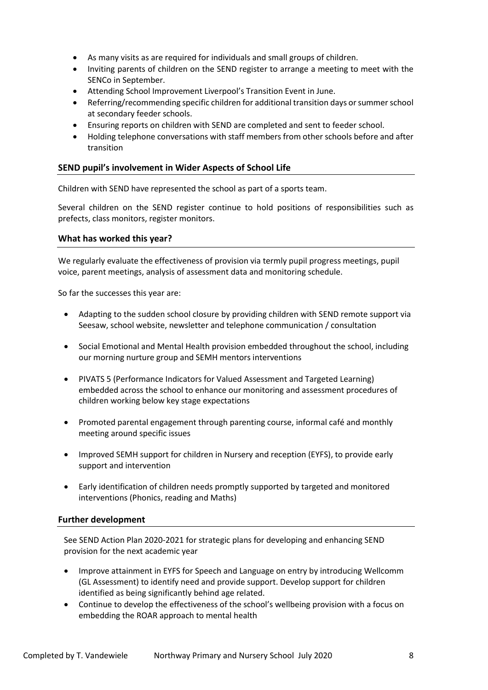- As many visits as are required for individuals and small groups of children.
- Inviting parents of children on the SEND register to arrange a meeting to meet with the SENCo in September.
- Attending School Improvement Liverpool's Transition Event in June.
- Referring/recommending specific children for additional transition days or summer school at secondary feeder schools.
- Ensuring reports on children with SEND are completed and sent to feeder school.
- Holding telephone conversations with staff members from other schools before and after transition

#### **SEND pupil's involvement in Wider Aspects of School Life**

Children with SEND have represented the school as part of a sports team.

Several children on the SEND register continue to hold positions of responsibilities such as prefects, class monitors, register monitors.

#### **What has worked this year?**

We regularly evaluate the effectiveness of provision via termly pupil progress meetings, pupil voice, parent meetings, analysis of assessment data and monitoring schedule.

So far the successes this year are:

- Adapting to the sudden school closure by providing children with SEND remote support via Seesaw, school website, newsletter and telephone communication / consultation
- Social Emotional and Mental Health provision embedded throughout the school, including our morning nurture group and SEMH mentors interventions
- PIVATS 5 (Performance Indicators for Valued Assessment and Targeted Learning) embedded across the school to enhance our monitoring and assessment procedures of children working below key stage expectations
- Promoted parental engagement through parenting course, informal café and monthly meeting around specific issues
- Improved SEMH support for children in Nursery and reception (EYFS), to provide early support and intervention
- Early identification of children needs promptly supported by targeted and monitored interventions (Phonics, reading and Maths)

#### **Further development**

See SEND Action Plan 2020-2021 for strategic plans for developing and enhancing SEND provision for the next academic year

- Improve attainment in EYFS for Speech and Language on entry by introducing Wellcomm (GL Assessment) to identify need and provide support. Develop support for children identified as being significantly behind age related.
- Continue to develop the effectiveness of the school's wellbeing provision with a focus on embedding the ROAR approach to mental health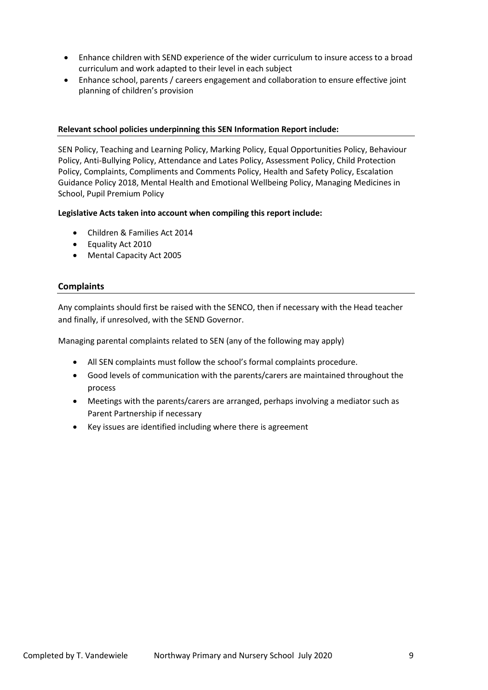- Enhance children with SEND experience of the wider curriculum to insure access to a broad curriculum and work adapted to their level in each subject
- Enhance school, parents / careers engagement and collaboration to ensure effective joint planning of children's provision

#### **Relevant school policies underpinning this SEN Information Report include:**

SEN Policy, Teaching and Learning Policy, Marking Policy, Equal Opportunities Policy, Behaviour Policy, Anti-Bullying Policy, Attendance and Lates Policy, Assessment Policy, Child Protection Policy, Complaints, Compliments and Comments Policy, Health and Safety Policy, Escalation Guidance Policy 2018, Mental Health and Emotional Wellbeing Policy, Managing Medicines in School, Pupil Premium Policy

#### **Legislative Acts taken into account when compiling this report include:**

- Children & Families Act 2014
- Equality Act 2010
- Mental Capacity Act 2005

#### **Complaints**

Any complaints should first be raised with the SENCO, then if necessary with the Head teacher and finally, if unresolved, with the SEND Governor.

Managing parental complaints related to SEN (any of the following may apply)

- All SEN complaints must follow the school's formal complaints procedure.
- Good levels of communication with the parents/carers are maintained throughout the process
- Meetings with the parents/carers are arranged, perhaps involving a mediator such as Parent Partnership if necessary
- Key issues are identified including where there is agreement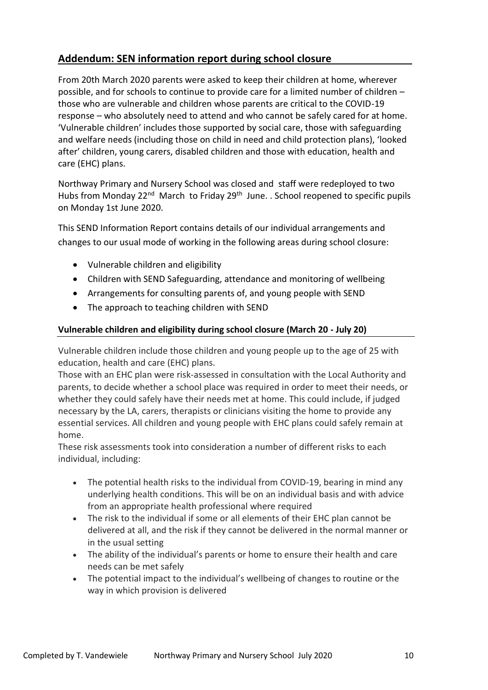## **Addendum: SEN information report during school closure**

From 20th March 2020 parents were asked to keep their children at home, wherever possible, and for schools to continue to provide care for a limited number of children – those who are vulnerable and children whose parents are critical to the COVID-19 response – who absolutely need to attend and who cannot be safely cared for at home. 'Vulnerable children' includes those supported by social care, those with safeguarding and welfare needs (including those on child in need and child protection plans), 'looked after' children, young carers, disabled children and those with education, health and care (EHC) plans.

Northway Primary and Nursery School was closed and staff were redeployed to two Hubs from Monday 22<sup>nd</sup> March to Friday 29<sup>th</sup> June. . School reopened to specific pupils on Monday 1st June 2020.

This SEND Information Report contains details of our individual arrangements and changes to our usual mode of working in the following areas during school closure:

- Vulnerable children and eligibility
- Children with SEND Safeguarding, attendance and monitoring of wellbeing
- Arrangements for consulting parents of, and young people with SEND
- The approach to teaching children with SEND

## **Vulnerable children and eligibility during school closure (March 20 - July 20)**

Vulnerable children include those children and young people up to the age of 25 with education, health and care (EHC) plans.

Those with an EHC plan were risk-assessed in consultation with the Local Authority and parents, to decide whether a school place was required in order to meet their needs, or whether they could safely have their needs met at home. This could include, if judged necessary by the LA, carers, therapists or clinicians visiting the home to provide any essential services. All children and young people with EHC plans could safely remain at home.

These risk assessments took into consideration a number of different risks to each individual, including:

- The potential health risks to the individual from COVID-19, bearing in mind any underlying health conditions. This will be on an individual basis and with advice from an appropriate health professional where required
- The risk to the individual if some or all elements of their EHC plan cannot be delivered at all, and the risk if they cannot be delivered in the normal manner or in the usual setting
- The ability of the individual's parents or home to ensure their health and care needs can be met safely
- The potential impact to the individual's wellbeing of changes to routine or the way in which provision is delivered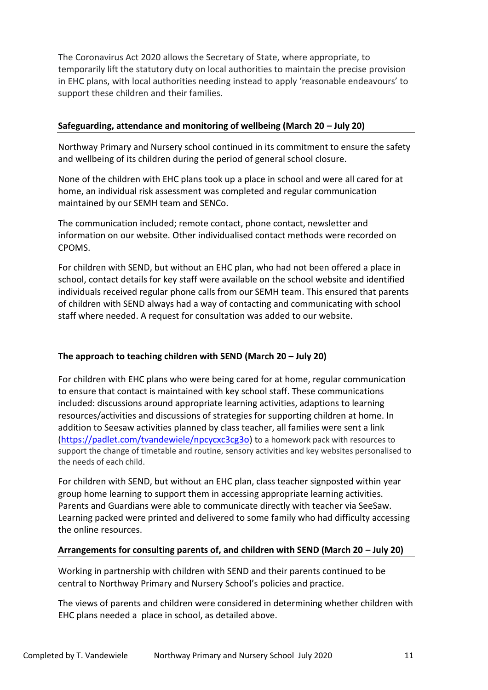The Coronavirus Act 2020 allows the Secretary of State, where appropriate, to temporarily lift the statutory duty on local authorities to maintain the precise provision in EHC plans, with local authorities needing instead to apply 'reasonable endeavours' to support these children and their families.

## **Safeguarding, attendance and monitoring of wellbeing (March 20 – July 20)**

Northway Primary and Nursery school continued in its commitment to ensure the safety and wellbeing of its children during the period of general school closure.

None of the children with EHC plans took up a place in school and were all cared for at home, an individual risk assessment was completed and regular communication maintained by our SEMH team and SENCo.

The communication included; remote contact, phone contact, newsletter and information on our website. Other individualised contact methods were recorded on CPOMS.

For children with SEND, but without an EHC plan, who had not been offered a place in school, contact details for key staff were available on the school website and identified individuals received regular phone calls from our SEMH team. This ensured that parents of children with SEND always had a way of contacting and communicating with school staff where needed. A request for consultation was added to our website.

## **The approach to teaching children with SEND (March 20 – July 20)**

For children with EHC plans who were being cared for at home, regular communication to ensure that contact is maintained with key school staff. These communications included: discussions around appropriate learning activities, adaptions to learning resources/activities and discussions of strategies for supporting children at home. In addition to Seesaw activities planned by class teacher, all families were sent a link [\(https://padlet.com/tvandewiele/npcycxc3cg3o\)](https://padlet.com/tvandewiele/npcycxc3cg3o) to a homework pack with resources to support the change of timetable and routine, sensory activities and key websites personalised to the needs of each child.

For children with SEND, but without an EHC plan, class teacher signposted within year group home learning to support them in accessing appropriate learning activities. Parents and Guardians were able to communicate directly with teacher via SeeSaw. Learning packed were printed and delivered to some family who had difficulty accessing the online resources.

## **Arrangements for consulting parents of, and children with SEND (March 20 – July 20)**

Working in partnership with children with SEND and their parents continued to be central to Northway Primary and Nursery School's policies and practice.

The views of parents and children were considered in determining whether children with EHC plans needed a place in school, as detailed above.